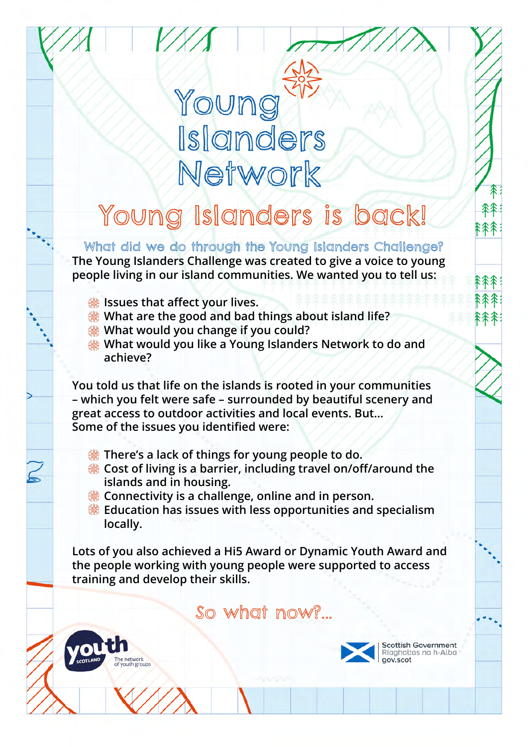# Young Islanders Network

### Young Islanders is back!

What did we do through the Young Islanders Challenge? **The Young Islanders Challenge was created to give a voice to young people living in our island communities. We wanted you to tell us:**

 **Issues that affect your lives.**

network

- **What are the good and bad things about island life?**
- **What would you change if you could?**
- **What would you like a Young Islanders Network to do and achieve?**

**You told us that life on the islands is rooted in your communities – which you felt were safe – surrounded by beautiful scenery and great access to outdoor activities and local events. But… Some of the issues you identified were:**

- **EXALLET SEX There's a lack of things for young people to do.**
- **Cost of living is a barrier, including travel on/off/around the islands and in housing.**
- **EXECONDED EXECUTE:** Connectivity is a challenge, online and in person.
- **Education has issues with less opportunities and specialism locally.**

**Lots of you also achieved a Hi5 Award or Dynamic Youth Award and the people working with young people were supported to access training and develop their skills.** 

So what now?...



**Scottish Government** Riaghaltas na h-Alba gov.scot

森

余余余

全不